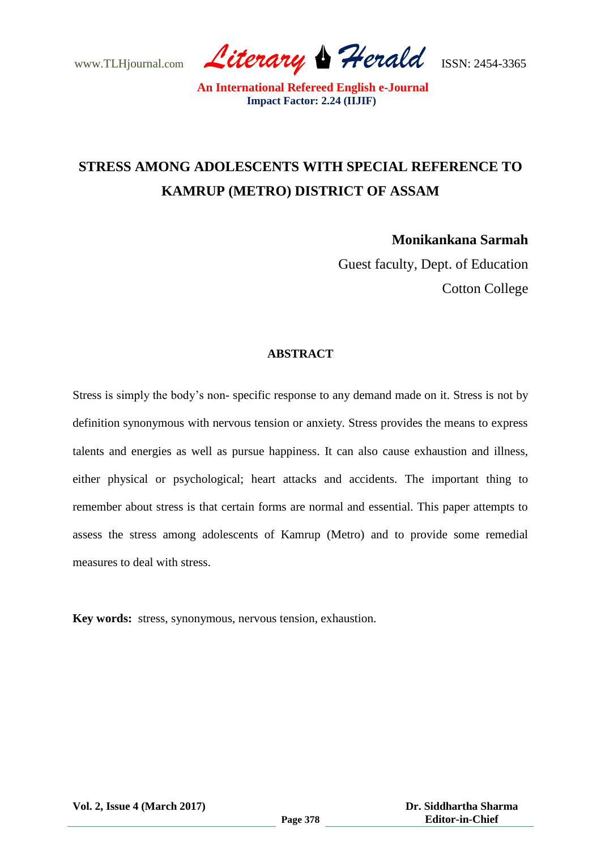www.TLHjournal.com *Literary Herald*ISSN: 2454-3365

# **STRESS AMONG ADOLESCENTS WITH SPECIAL REFERENCE TO KAMRUP (METRO) DISTRICT OF ASSAM**

**Monikankana Sarmah**

Guest faculty, Dept. of Education Cotton College

## **ABSTRACT**

Stress is simply the body's non- specific response to any demand made on it. Stress is not by definition synonymous with nervous tension or anxiety. Stress provides the means to express talents and energies as well as pursue happiness. It can also cause exhaustion and illness, either physical or psychological; heart attacks and accidents. The important thing to remember about stress is that certain forms are normal and essential. This paper attempts to assess the stress among adolescents of Kamrup (Metro) and to provide some remedial measures to deal with stress.

**Key words:** stress, synonymous, nervous tension, exhaustion.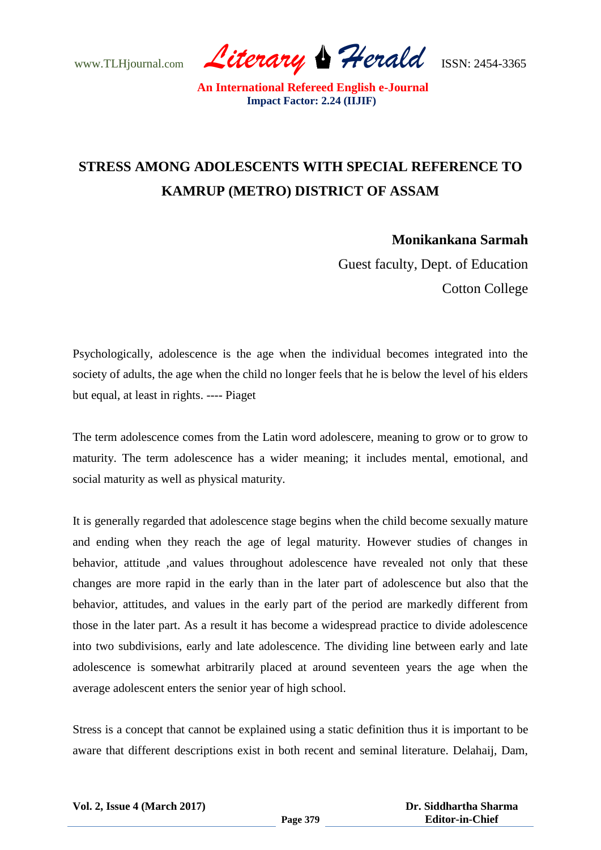www.TLHjournal.com *Literary Herald*ISSN: 2454-3365

# **STRESS AMONG ADOLESCENTS WITH SPECIAL REFERENCE TO KAMRUP (METRO) DISTRICT OF ASSAM**

**Monikankana Sarmah**

Guest faculty, Dept. of Education Cotton College

Psychologically, adolescence is the age when the individual becomes integrated into the society of adults, the age when the child no longer feels that he is below the level of his elders but equal, at least in rights. ---- Piaget

The term adolescence comes from the Latin word adolescere, meaning to grow or to grow to maturity. The term adolescence has a wider meaning; it includes mental, emotional, and social maturity as well as physical maturity.

It is generally regarded that adolescence stage begins when the child become sexually mature and ending when they reach the age of legal maturity. However studies of changes in behavior, attitude ,and values throughout adolescence have revealed not only that these changes are more rapid in the early than in the later part of adolescence but also that the behavior, attitudes, and values in the early part of the period are markedly different from those in the later part. As a result it has become a widespread practice to divide adolescence into two subdivisions, early and late adolescence. The dividing line between early and late adolescence is somewhat arbitrarily placed at around seventeen years the age when the average adolescent enters the senior year of high school.

Stress is a concept that cannot be explained using a static definition thus it is important to be aware that different descriptions exist in both recent and seminal literature. Delahaij, Dam,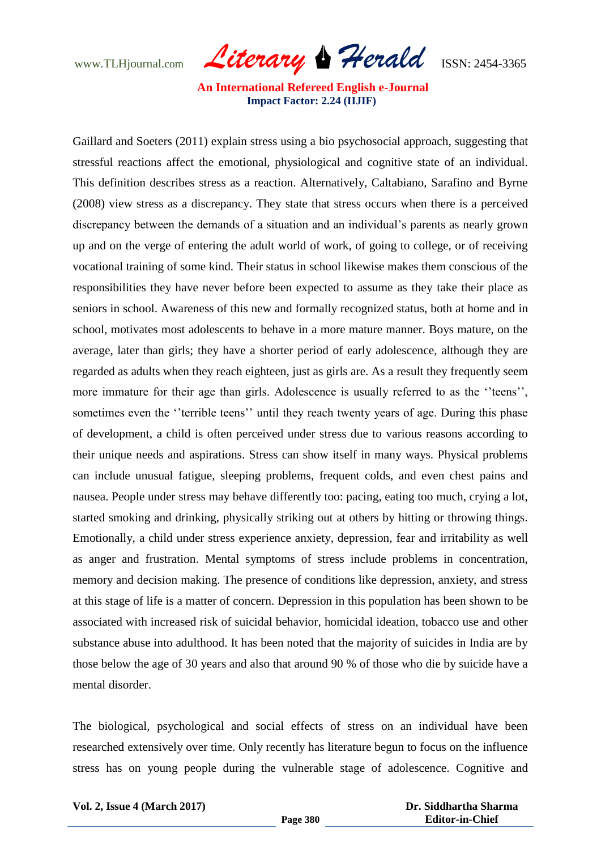www.TLHjournal.com *Literary Herald*ISSN: 2454-3365

Gaillard and Soeters (2011) explain stress using a bio psychosocial approach, suggesting that stressful reactions affect the emotional, physiological and cognitive state of an individual. This definition describes stress as a reaction. Alternatively, Caltabiano, Sarafino and Byrne (2008) view stress as a discrepancy. They state that stress occurs when there is a perceived discrepancy between the demands of a situation and an individual's parents as nearly grown up and on the verge of entering the adult world of work, of going to college, or of receiving vocational training of some kind. Their status in school likewise makes them conscious of the responsibilities they have never before been expected to assume as they take their place as seniors in school. Awareness of this new and formally recognized status, both at home and in school, motivates most adolescents to behave in a more mature manner. Boys mature, on the average, later than girls; they have a shorter period of early adolescence, although they are regarded as adults when they reach eighteen, just as girls are. As a result they frequently seem more immature for their age than girls. Adolescence is usually referred to as the ''teens'', sometimes even the "terrible teens" until they reach twenty years of age. During this phase of development, a child is often perceived under stress due to various reasons according to their unique needs and aspirations. Stress can show itself in many ways. Physical problems can include unusual fatigue, sleeping problems, frequent colds, and even chest pains and nausea. People under stress may behave differently too: pacing, eating too much, crying a lot, started smoking and drinking, physically striking out at others by hitting or throwing things. Emotionally, a child under stress experience anxiety, depression, fear and irritability as well as anger and frustration. Mental symptoms of stress include problems in concentration, memory and decision making. The presence of conditions like depression, anxiety, and stress at this stage of life is a matter of concern. Depression in this population has been shown to be associated with increased risk of suicidal behavior, homicidal ideation, tobacco use and other substance abuse into adulthood. It has been noted that the majority of suicides in India are by those below the age of 30 years and also that around 90 % of those who die by suicide have a mental disorder.

The biological, psychological and social effects of stress on an individual have been researched extensively over time. Only recently has literature begun to focus on the influence stress has on young people during the vulnerable stage of adolescence. Cognitive and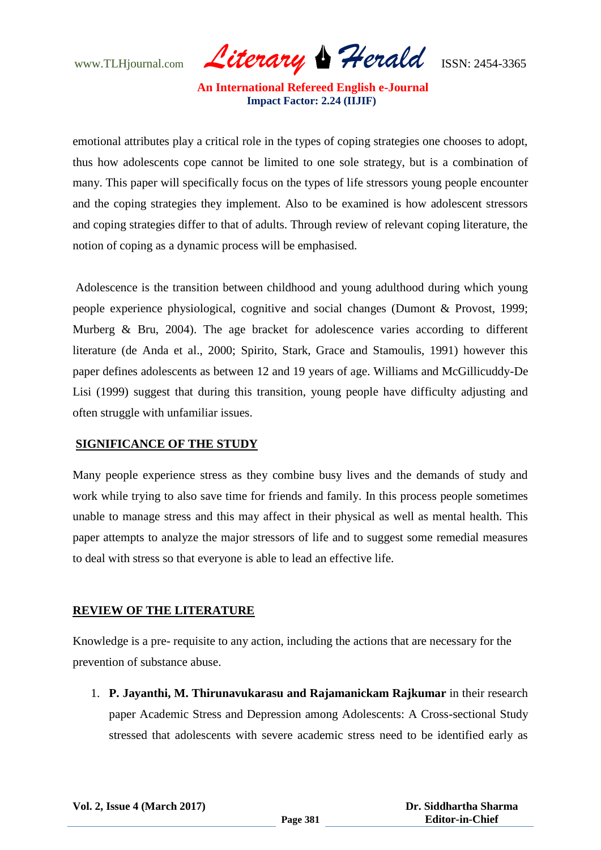www.TLHjournal.com *Literary Herald*ISSN: 2454-3365

emotional attributes play a critical role in the types of coping strategies one chooses to adopt, thus how adolescents cope cannot be limited to one sole strategy, but is a combination of many. This paper will specifically focus on the types of life stressors young people encounter and the coping strategies they implement. Also to be examined is how adolescent stressors and coping strategies differ to that of adults. Through review of relevant coping literature, the notion of coping as a dynamic process will be emphasised.

Adolescence is the transition between childhood and young adulthood during which young people experience physiological, cognitive and social changes (Dumont & Provost, 1999; Murberg & Bru, 2004). The age bracket for adolescence varies according to different literature (de Anda et al., 2000; Spirito, Stark, Grace and Stamoulis, 1991) however this paper defines adolescents as between 12 and 19 years of age. Williams and McGillicuddy-De Lisi (1999) suggest that during this transition, young people have difficulty adjusting and often struggle with unfamiliar issues.

## **SIGNIFICANCE OF THE STUDY**

Many people experience stress as they combine busy lives and the demands of study and work while trying to also save time for friends and family. In this process people sometimes unable to manage stress and this may affect in their physical as well as mental health. This paper attempts to analyze the major stressors of life and to suggest some remedial measures to deal with stress so that everyone is able to lead an effective life.

## **REVIEW OF THE LITERATURE**

Knowledge is a pre- requisite to any action, including the actions that are necessary for the prevention of substance abuse.

1. **P. Jayanthi, M. Thirunavukarasu and Rajamanickam Rajkumar** in their research paper Academic Stress and Depression among Adolescents: A Cross-sectional Study stressed that adolescents with severe academic stress need to be identified early as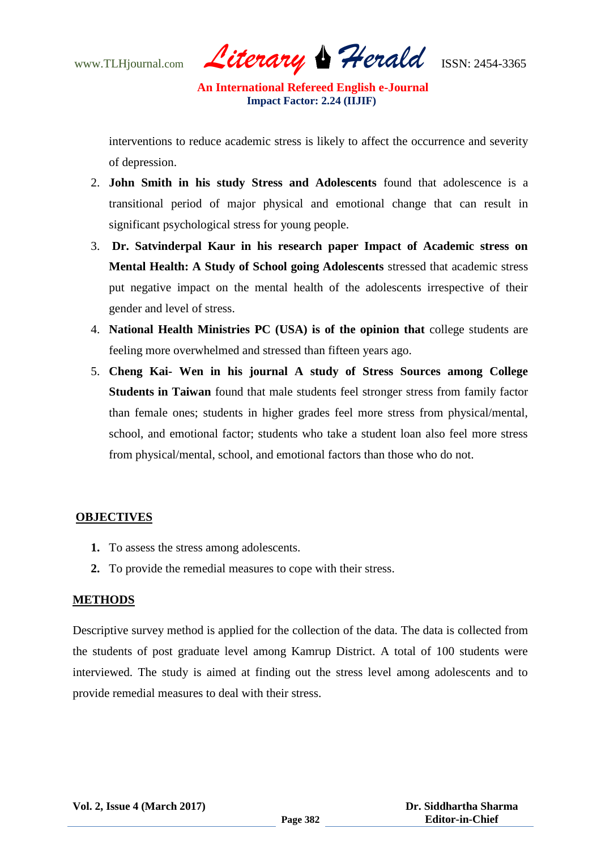www.TLHjournal.com *Literary Herald*ISSN: 2454-3365

interventions to reduce academic stress is likely to affect the occurrence and severity of depression.

- 2. **John Smith in his study Stress and Adolescents** found that adolescence is a transitional period of major physical and emotional change that can result in significant psychological stress for young people.
- 3. **Dr. Satvinderpal Kaur in his research paper Impact of Academic stress on Mental Health: A Study of School going Adolescents** stressed that academic stress put negative impact on the mental health of the adolescents irrespective of their gender and level of stress.
- 4. **National Health Ministries PC (USA) is of the opinion that** college students are feeling more overwhelmed and stressed than fifteen years ago.
- 5. **Cheng Kai- Wen in his journal A study of Stress Sources among College Students in Taiwan** found that male students feel stronger stress from family factor than female ones; students in higher grades feel more stress from physical/mental, school, and emotional factor; students who take a student loan also feel more stress from physical/mental, school, and emotional factors than those who do not.

## **OBJECTIVES**

- **1.** To assess the stress among adolescents.
- **2.** To provide the remedial measures to cope with their stress.

## **METHODS**

Descriptive survey method is applied for the collection of the data. The data is collected from the students of post graduate level among Kamrup District. A total of 100 students were interviewed. The study is aimed at finding out the stress level among adolescents and to provide remedial measures to deal with their stress.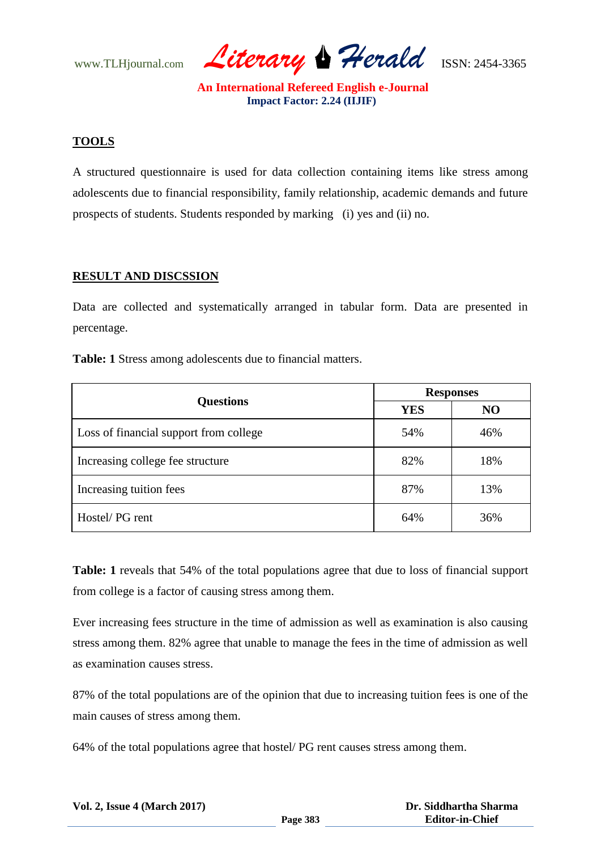www.TLHjournal.com *Literary Herald*ISSN: 2454-3365

## **TOOLS**

A structured questionnaire is used for data collection containing items like stress among adolescents due to financial responsibility, family relationship, academic demands and future prospects of students. Students responded by marking (i) yes and (ii) no.

## **RESULT AND DISCSSION**

Data are collected and systematically arranged in tabular form. Data are presented in percentage.

**Table: 1** Stress among adolescents due to financial matters.

| <b>Questions</b>                       | <b>Responses</b> |                |
|----------------------------------------|------------------|----------------|
|                                        | <b>YES</b>       | N <sub>O</sub> |
| Loss of financial support from college | 54%              | 46%            |
| Increasing college fee structure       | 82%              | 18%            |
| Increasing tuition fees                | 87%              | 13%            |
| Hostel/PG rent                         | 64%              | 36%            |

**Table: 1** reveals that 54% of the total populations agree that due to loss of financial support from college is a factor of causing stress among them.

Ever increasing fees structure in the time of admission as well as examination is also causing stress among them. 82% agree that unable to manage the fees in the time of admission as well as examination causes stress.

87% of the total populations are of the opinion that due to increasing tuition fees is one of the main causes of stress among them.

64% of the total populations agree that hostel/ PG rent causes stress among them.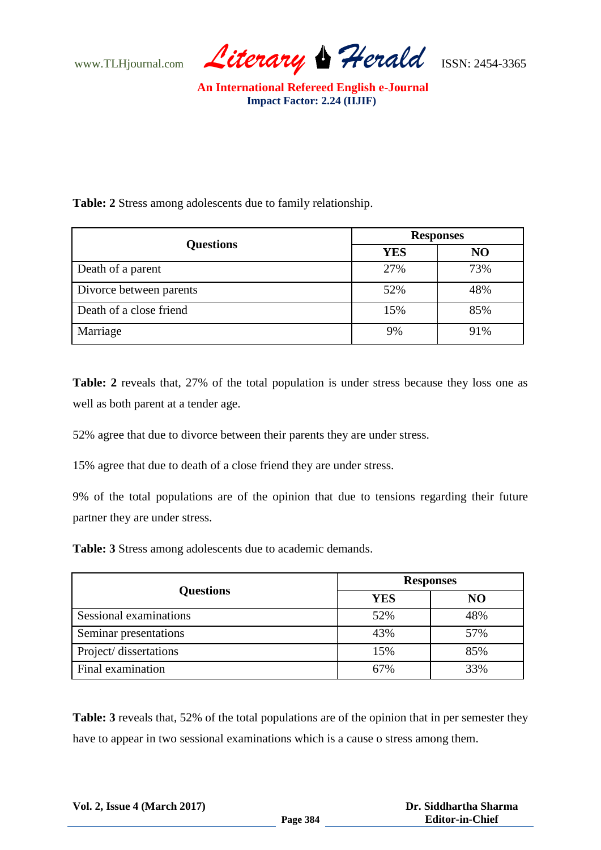www.TLHjournal.com *Literary Herald*ISSN: 2454-3365

**Table: 2** Stress among adolescents due to family relationship.

| <b>Questions</b>        | <b>Responses</b> |     |
|-------------------------|------------------|-----|
|                         | <b>YES</b>       | NO  |
| Death of a parent       | 27%              | 73% |
| Divorce between parents | 52%              | 48% |
| Death of a close friend | 15%              | 85% |
| Marriage                | 9%               | 91% |

**Table: 2** reveals that, 27% of the total population is under stress because they loss one as well as both parent at a tender age.

52% agree that due to divorce between their parents they are under stress.

15% agree that due to death of a close friend they are under stress.

9% of the total populations are of the opinion that due to tensions regarding their future partner they are under stress.

**Table: 3** Stress among adolescents due to academic demands.

| <b>Questions</b>       | <b>Responses</b> |     |
|------------------------|------------------|-----|
|                        | <b>YES</b>       | NO  |
| Sessional examinations | 52%              | 48% |
| Seminar presentations  | 43%              | 57% |
| Project/ dissertations | 15%              | 85% |
| Final examination      | 67%              | 33% |

**Table: 3** reveals that, 52% of the total populations are of the opinion that in per semester they have to appear in two sessional examinations which is a cause o stress among them.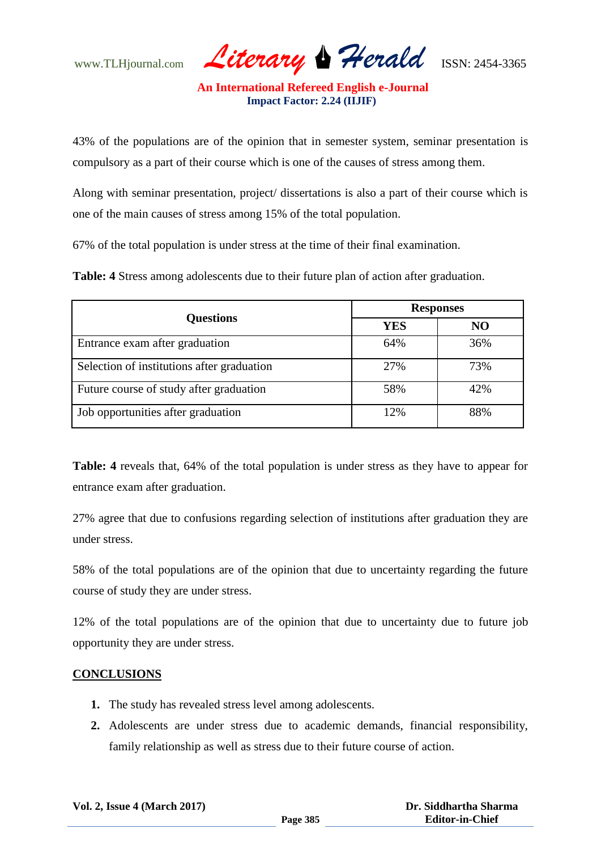www.TLHjournal.com *Literary Herald*ISSN: 2454-3365

43% of the populations are of the opinion that in semester system, seminar presentation is compulsory as a part of their course which is one of the causes of stress among them.

Along with seminar presentation, project/ dissertations is also a part of their course which is one of the main causes of stress among 15% of the total population.

67% of the total population is under stress at the time of their final examination.

**Table: 4** Stress among adolescents due to their future plan of action after graduation.

| <b>Questions</b>                           | <b>Responses</b> |     |
|--------------------------------------------|------------------|-----|
|                                            | <b>YES</b>       | NO  |
| Entrance exam after graduation             | 64%              | 36% |
| Selection of institutions after graduation | 27%              | 73% |
| Future course of study after graduation    | 58%              | 42% |
| Job opportunities after graduation         | 12%              | 88% |

**Table: 4** reveals that, 64% of the total population is under stress as they have to appear for entrance exam after graduation.

27% agree that due to confusions regarding selection of institutions after graduation they are under stress.

58% of the total populations are of the opinion that due to uncertainty regarding the future course of study they are under stress.

12% of the total populations are of the opinion that due to uncertainty due to future job opportunity they are under stress.

## **CONCLUSIONS**

- **1.** The study has revealed stress level among adolescents.
- **2.** Adolescents are under stress due to academic demands, financial responsibility, family relationship as well as stress due to their future course of action.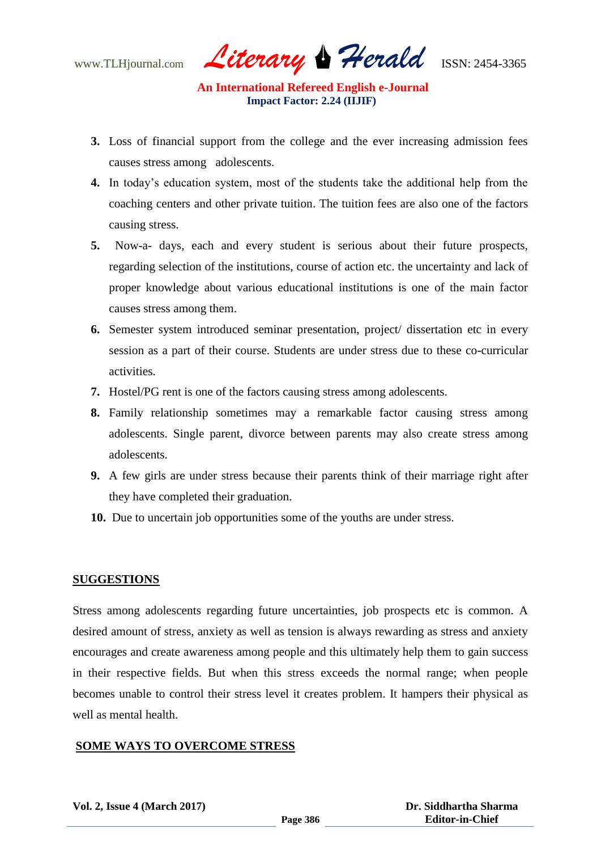www.TLHjournal.com *Literary Herald*ISSN: 2454-3365

- **3.** Loss of financial support from the college and the ever increasing admission fees causes stress among adolescents.
- **4.** In today's education system, most of the students take the additional help from the coaching centers and other private tuition. The tuition fees are also one of the factors causing stress.
- **5.** Now-a- days, each and every student is serious about their future prospects, regarding selection of the institutions, course of action etc. the uncertainty and lack of proper knowledge about various educational institutions is one of the main factor causes stress among them.
- **6.** Semester system introduced seminar presentation, project/ dissertation etc in every session as a part of their course. Students are under stress due to these co-curricular activities.
- **7.** Hostel/PG rent is one of the factors causing stress among adolescents.
- **8.** Family relationship sometimes may a remarkable factor causing stress among adolescents. Single parent, divorce between parents may also create stress among adolescents.
- **9.** A few girls are under stress because their parents think of their marriage right after they have completed their graduation.
- **10.** Due to uncertain job opportunities some of the youths are under stress.

## **SUGGESTIONS**

Stress among adolescents regarding future uncertainties, job prospects etc is common. A desired amount of stress, anxiety as well as tension is always rewarding as stress and anxiety encourages and create awareness among people and this ultimately help them to gain success in their respective fields. But when this stress exceeds the normal range; when people becomes unable to control their stress level it creates problem. It hampers their physical as well as mental health.

## **SOME WAYS TO OVERCOME STRESS**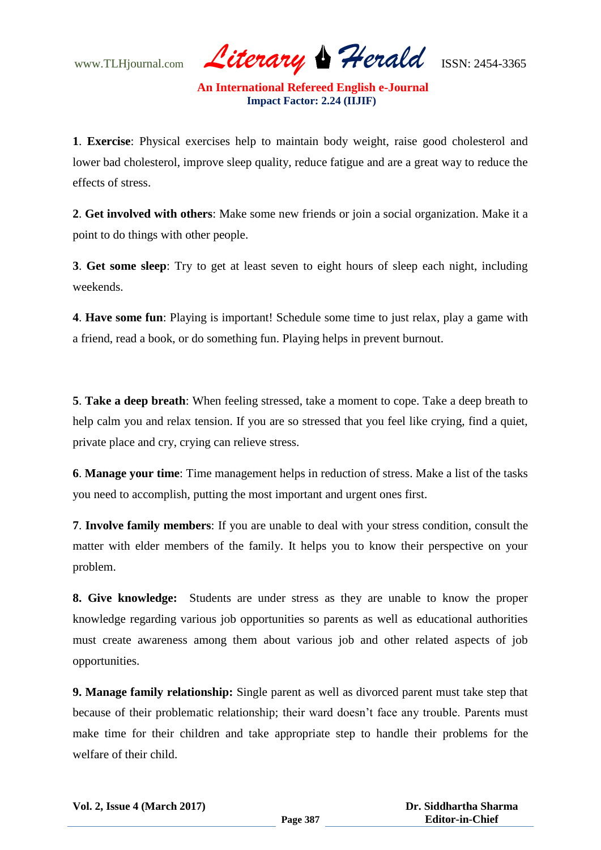www.TLHjournal.com *Literary Herald*ISSN: 2454-3365

**1**. **Exercise**: Physical exercises help to maintain body weight, raise good cholesterol and lower bad cholesterol, improve sleep quality, reduce fatigue and are a great way to reduce the effects of stress.

**2**. **Get involved with others**: Make some new friends or join a social organization. Make it a point to do things with other people.

**3**. **Get some sleep**: Try to get at least seven to eight hours of sleep each night, including weekends.

**4**. **Have some fun**: Playing is important! Schedule some time to just relax, play a game with a friend, read a book, or do something fun. Playing helps in prevent burnout.

**5**. **Take a deep breath**: When feeling stressed, take a moment to cope. Take a deep breath to help calm you and relax tension. If you are so stressed that you feel like crying, find a quiet, private place and cry, crying can relieve stress.

**6**. **Manage your time**: Time management helps in reduction of stress. Make a list of the tasks you need to accomplish, putting the most important and urgent ones first.

**7**. **Involve family members**: If you are unable to deal with your stress condition, consult the matter with elder members of the family. It helps you to know their perspective on your problem.

**8. Give knowledge:** Students are under stress as they are unable to know the proper knowledge regarding various job opportunities so parents as well as educational authorities must create awareness among them about various job and other related aspects of job opportunities.

**9. Manage family relationship:** Single parent as well as divorced parent must take step that because of their problematic relationship; their ward doesn't face any trouble. Parents must make time for their children and take appropriate step to handle their problems for the welfare of their child.